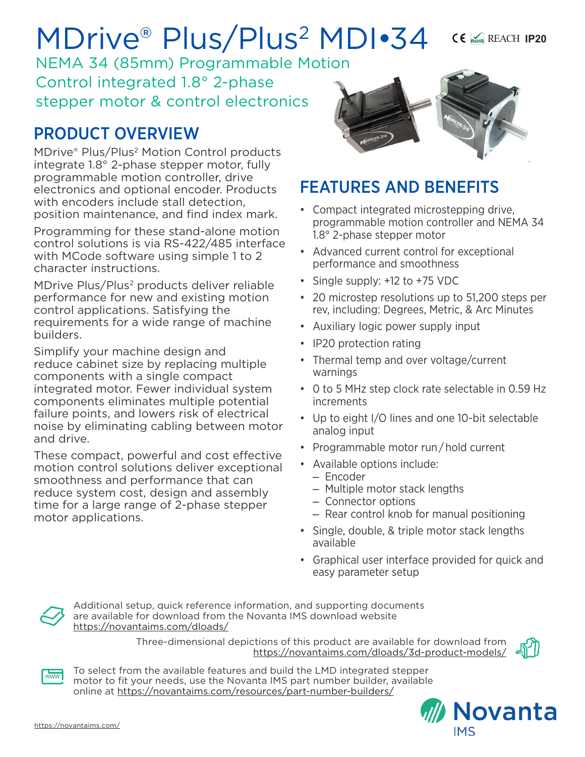# MDrive® Plus/Plus2 MDI•34

NEMA 34 (85mm) Programmable Motion Control integrated 1.8° 2-phase stepper motor & control electronics

## PRODUCT OVERVIEW

MDrive® Plus/Plus2 Motion Control products integrate 1.8° 2-phase stepper motor, fully programmable motion controller, drive electronics and optional encoder. Products with encoders include stall detection. position maintenance, and find index mark.

Programming for these stand-alone motion control solutions is via RS-422/485 interface with MCode software using simple 1 to 2 character instructions.

MDrive Plus/Plus<sup>2</sup> products deliver reliable performance for new and existing motion control applications. Satisfying the requirements for a wide range of machine builders.

Simplify your machine design and reduce cabinet size by replacing multiple components with a single compact integrated motor. Fewer individual system components eliminates multiple potential failure points, and lowers risk of electrical noise by eliminating cabling between motor and drive.

These compact, powerful and cost effective motion control solutions deliver exceptional smoothness and performance that can reduce system cost, design and assembly time for a large range of 2-phase stepper motor applications.



REACH **IP20**

## FEATURES AND BENEFITS

- Compact integrated microstepping drive, programmable motion controller and NEMA 34 1.8° 2-phase stepper motor
- Advanced current control for exceptional performance and smoothness
- Single supply: +12 to +75 VDC
- 20 microstep resolutions up to 51,200 steps per rev, including: Degrees, Metric, & Arc Minutes
- Auxiliary logic power supply input
- IP20 protection rating
- Thermal temp and over voltage/current warnings
- 0 to 5 MHz step clock rate selectable in 0.59 Hz increments
- Up to eight I/O lines and one 10-bit selectable analog input
- Programmable motor run / hold current
- Available options include:
	- Encoder
	- Multiple motor stack lengths
	- Connector options
	- Rear control knob for manual positioning
- Single, double, & triple motor stack lengths available
- Graphical user interface provided for quick and easy parameter setup



Additional setup, quick reference information, and supporting documents are available for download from the Novanta IMS download website https://novantaims.com/dloads/

> Three-dimensional depictions of this product are available for download from <https://novantaims.com/dloads/3d-product-models/>





To select from the available features and build the LMD integrated stepper motor to fit your needs, use the Novanta IMS part number builder, available online at <https://novantaims.com/resources/part-number-builders/>